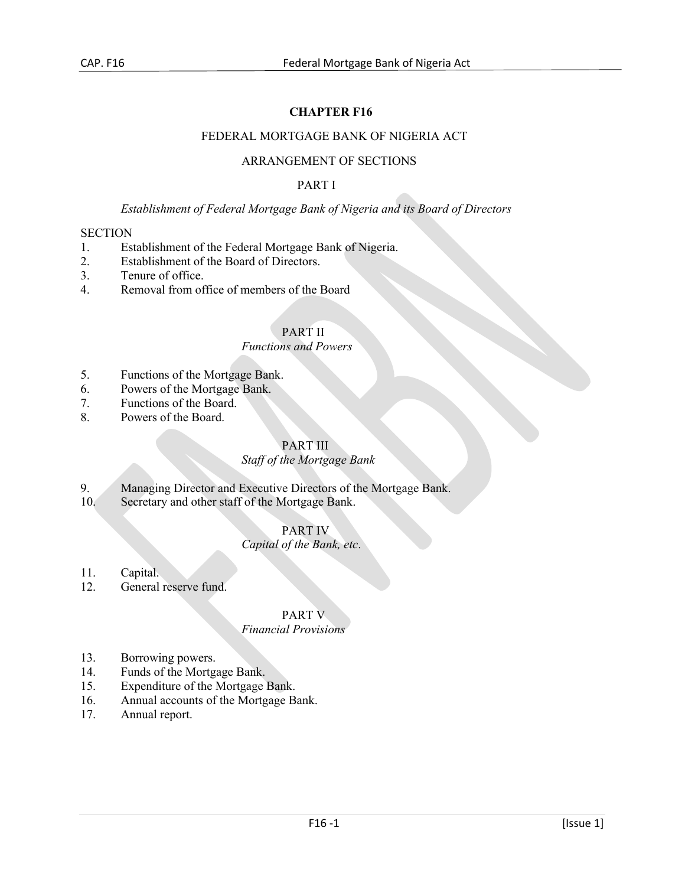# **CHAPTER F16**

### FEDERAL MORTGAGE BANK OF NIGERIA ACT

### ARRANGEMENT OF SECTIONS

### PART I

# *Establishment of Federal Mortgage Bank of Nigeria and its Board of Directors*

#### **SECTION**

- 1. Establishment of the Federal Mortgage Bank of Nigeria.
- 2. Establishment of the Board of Directors.
- 3. Tenure of office.
- 4. Removal from office of members of the Board

# PART II

### *Functions and Powers*

- 5. Functions of the Mortgage Bank.
- 6. Powers of the Mortgage Bank.
- 7. Functions of the Board.
- 8. Powers of the Board.

# PART III

### *Staff of the Mortgage Bank*

- 9. Managing Director and Executive Directors of the Mortgage Bank.<br>10. Secretary and other staff of the Mortgage Bank.
- Secretary and other staff of the Mortgage Bank.

### PART IV

# *Capital of the Bank, etc*.

### 11. Capital.

12. General reserve fund.

# PART V

### *Financial Provisions*

- 13. Borrowing powers.
- 14. Funds of the Mortgage Bank.
- 15. Expenditure of the Mortgage Bank.
- 16. Annual accounts of the Mortgage Bank.<br>17. Annual report.
- Annual report.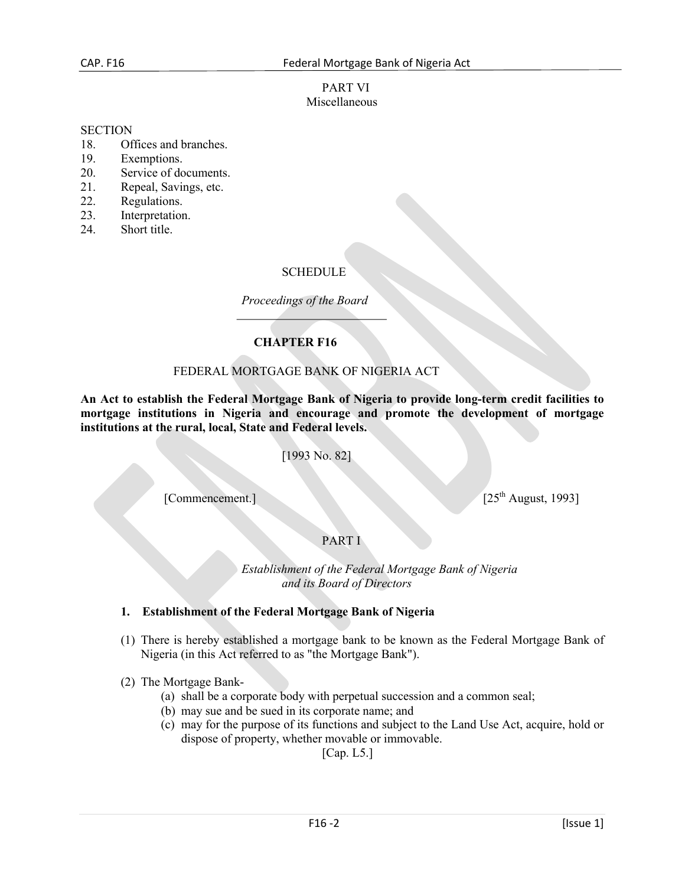### PART VI Miscellaneous

#### **SECTION**

- 18. Offices and branches.
- 19. Exemptions.
- 20. Service of documents.
- 21. Repeal, Savings, etc.
- 22. Regulations.
- 23. Interpretation.
- 24. Short title.

### **SCHEDULE**

*Proceedings of the Board*

# **CHAPTER F16**

### FEDERAL MORTGAGE BANK OF NIGERIA ACT

**An Act to establish the Federal Mortgage Bank of Nigeria to provide long-term credit facilities to mortgage institutions in Nigeria and encourage and promote the development of mortgage institutions at the rural, local, State and Federal levels.**

[1993 No. 82]

[Commencement.] [25<sup>th</sup> August, 1993]

# PART I

 *Establishment of the Federal Mortgage Bank of Nigeria and its Board of Directors* 

### **1. Establishment of the Federal Mortgage Bank of Nigeria**

- (1) There is hereby established a mortgage bank to be known as the Federal Mortgage Bank of Nigeria (in this Act referred to as "the Mortgage Bank").
- (2) The Mortgage Bank-
	- (a) shall be a corporate body with perpetual succession and a common seal;
	- (b) may sue and be sued in its corporate name; and
	- (c) may for the purpose of its functions and subject to the Land Use Act, acquire, hold or dispose of property, whether movable or immovable.

[Cap. L5.]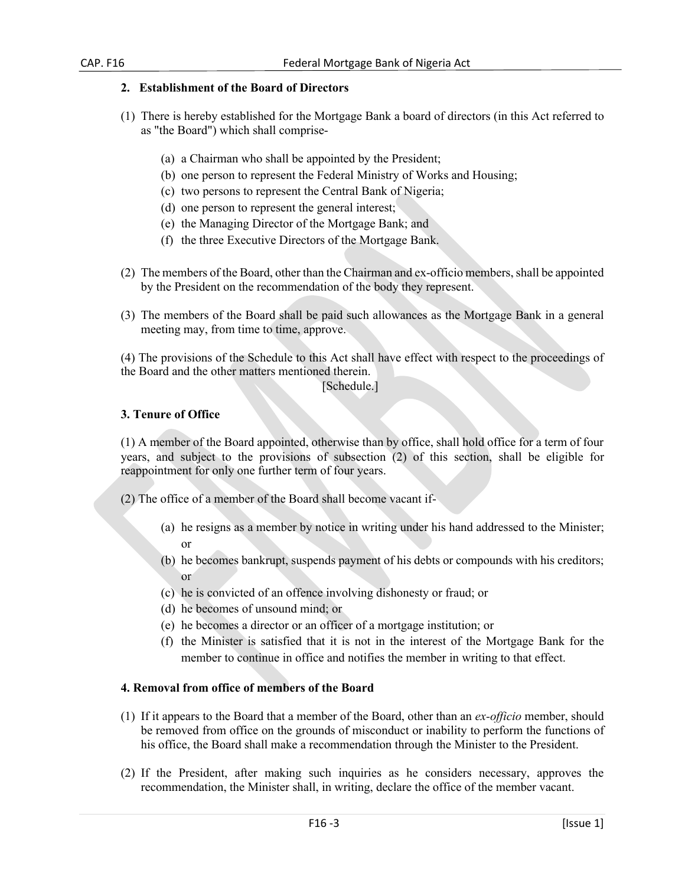## **2. Establishment of the Board of Directors**

- (1) There is hereby established for the Mortgage Bank a board of directors (in this Act referred to as "the Board") which shall comprise-
	- (a) a Chairman who shall be appointed by the President;
	- (b) one person to represent the Federal Ministry of Works and Housing;
	- (c) two persons to represent the Central Bank of Nigeria;
	- (d) one person to represent the general interest;
	- (e) the Managing Director of the Mortgage Bank; and
	- (f) the three Executive Directors of the Mortgage Bank.
- (2) The members of the Board, other than the Chairman and ex-officio members, shall be appointed by the President on the recommendation of the body they represent.
- (3) The members of the Board shall be paid such allowances as the Mortgage Bank in a general meeting may, from time to time, approve.

(4) The provisions of the Schedule to this Act shall have effect with respect to the proceedings of the Board and the other matters mentioned therein.

### [Schedule.]

### **3. Tenure of Office**

(1) A member of the Board appointed, otherwise than by office, shall hold office for a term of four years, and subject to the provisions of subsection (2) of this section, shall be eligible for reappointment for only one further term of four years.

(2) The office of a member of the Board shall become vacant if-

- (a) he resigns as a member by notice in writing under his hand addressed to the Minister; or
- (b) he becomes bankrupt, suspends payment of his debts or compounds with his creditors; or
- (c) he is convicted of an offence involving dishonesty or fraud; or
- (d) he becomes of unsound mind; or
- (e) he becomes a director or an officer of a mortgage institution; or
- (f) the Minister is satisfied that it is not in the interest of the Mortgage Bank for the member to continue in office and notifies the member in writing to that effect.

### **4. Removal from office of members of the Board**

- (1) If it appears to the Board that a member of the Board, other than an *ex-officio* member, should be removed from office on the grounds of misconduct or inability to perform the functions of his office, the Board shall make a recommendation through the Minister to the President.
- (2) If the President, after making such inquiries as he considers necessary, approves the recommendation, the Minister shall, in writing, declare the office of the member vacant.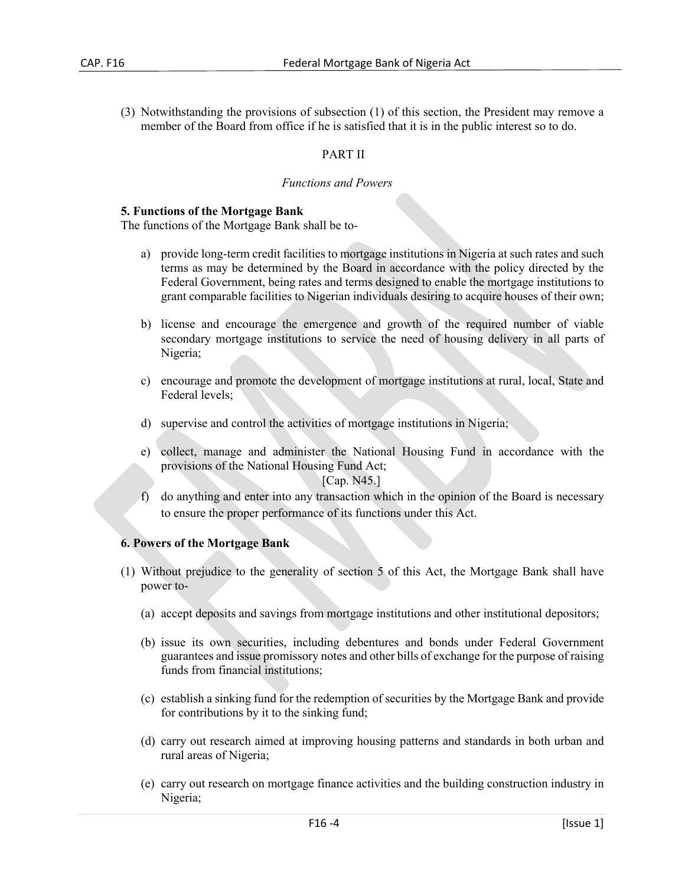(3) Notwithstanding the provisions of subsection (1) of this section, the President may remove a member of the Board from office if he is satisfied that it is in the public interest so to do.

# PART II

#### *Functions and Powers*

#### **5. Functions of the Mortgage Bank**

The functions of the Mortgage Bank shall be to-

- a) provide long-term credit facilities to mortgage institutions in Nigeria at such rates and such terms as may be determined by the Board in accordance with the policy directed by the Federal Government, being rates and terms designed to enable the mortgage institutions to grant comparable facilities to Nigerian individuals desiring to acquire houses of their own;
- b) license and encourage the emergence and growth of the required number of viable secondary mortgage institutions to service the need of housing delivery in all parts of Nigeria;
- c) encourage and promote the development of mortgage institutions at rural, local, State and Federal levels;
- d) supervise and control the activities of mortgage institutions in Nigeria;
- e) collect, manage and administer the National Housing Fund in accordance with the provisions of the National Housing Fund Act;

[Cap. N45.]

f) do anything and enter into any transaction which in the opinion of the Board is necessary to ensure the proper performance of its functions under this Act.

### **6. Powers of the Mortgage Bank**

- (1) Without prejudice to the generality of section 5 of this Act, the Mortgage Bank shall have power to-
	- (a) accept deposits and savings from mortgage institutions and other institutional depositors;
	- (b) issue its own securities, including debentures and bonds under Federal Government guarantees and issue promissory notes and other bills of exchange for the purpose of raising funds from financial institutions;
	- (c) establish a sinking fund for the redemption of securities by the Mortgage Bank and provide for contributions by it to the sinking fund;
	- (d) carry out research aimed at improving housing patterns and standards in both urban and rural areas of Nigeria;
	- (e) carry out research on mortgage finance activities and the building construction industry in Nigeria;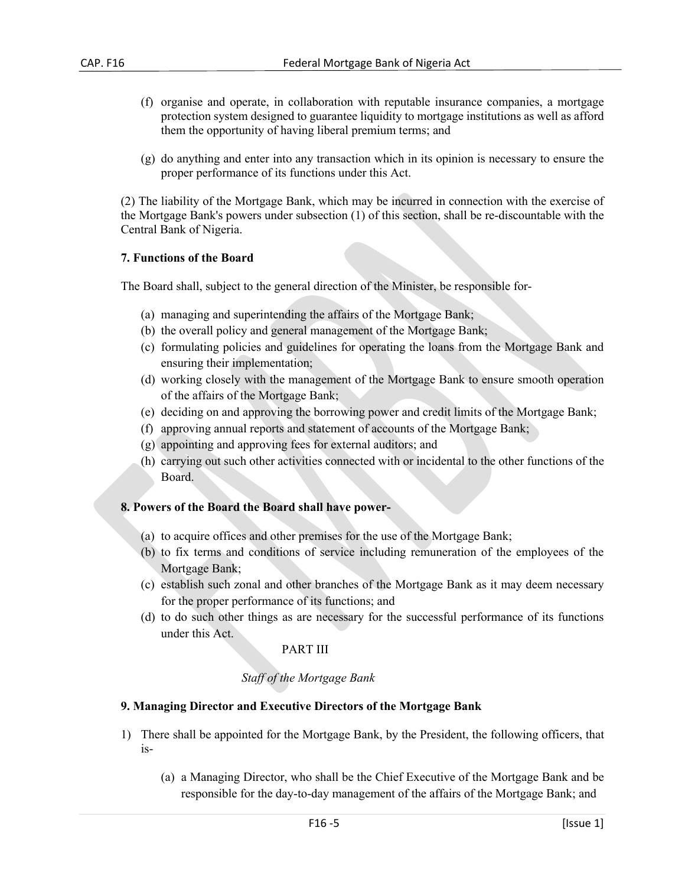- (f) organise and operate, in collaboration with reputable insurance companies, a mortgage protection system designed to guarantee liquidity to mortgage institutions as well as afford them the opportunity of having liberal premium terms; and
- (g) do anything and enter into any transaction which in its opinion is necessary to ensure the proper performance of its functions under this Act.

(2) The liability of the Mortgage Bank, which may be incurred in connection with the exercise of the Mortgage Bank's powers under subsection (1) of this section, shall be re-discountable with the Central Bank of Nigeria.

#### **7. Functions of the Board**

The Board shall, subject to the general direction of the Minister, be responsible for-

- (a) managing and superintending the affairs of the Mortgage Bank;
- (b) the overall policy and general management of the Mortgage Bank;
- (c) formulating policies and guidelines for operating the loans from the Mortgage Bank and ensuring their implementation;
- (d) working closely with the management of the Mortgage Bank to ensure smooth operation of the affairs of the Mortgage Bank;
- (e) deciding on and approving the borrowing power and credit limits of the Mortgage Bank;
- (f) approving annual reports and statement of accounts of the Mortgage Bank;
- (g) appointing and approving fees for external auditors; and
- (h) carrying out such other activities connected with or incidental to the other functions of the Board.

### **8. Powers of the Board the Board shall have power-**

- (a) to acquire offices and other premises for the use of the Mortgage Bank;
- (b) to fix terms and conditions of service including remuneration of the employees of the Mortgage Bank;
- (c) establish such zonal and other branches of the Mortgage Bank as it may deem necessary for the proper performance of its functions; and
- (d) to do such other things as are necessary for the successful performance of its functions under this Act.

### PART III

### *Staff of the Mortgage Bank*

#### **9. Managing Director and Executive Directors of the Mortgage Bank**

- 1) There shall be appointed for the Mortgage Bank, by the President, the following officers, that is-
	- (a) a Managing Director, who shall be the Chief Executive of the Mortgage Bank and be responsible for the day-to-day management of the affairs of the Mortgage Bank; and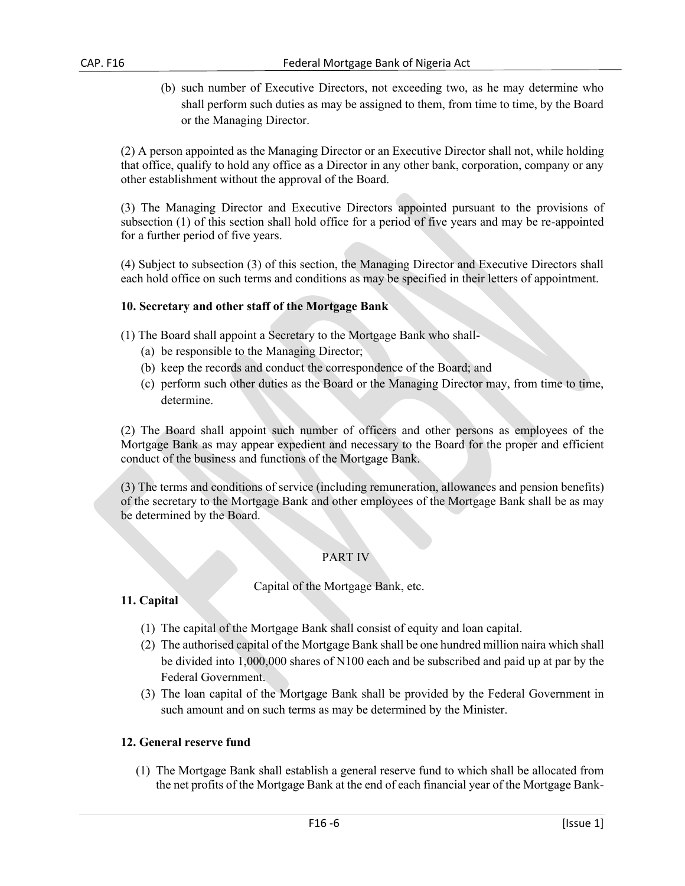(b) such number of Executive Directors, not exceeding two, as he may determine who shall perform such duties as may be assigned to them, from time to time, by the Board or the Managing Director.

(2) A person appointed as the Managing Director or an Executive Director shall not, while holding that office, qualify to hold any office as a Director in any other bank, corporation, company or any other establishment without the approval of the Board.

(3) The Managing Director and Executive Directors appointed pursuant to the provisions of subsection (1) of this section shall hold office for a period of five years and may be re-appointed for a further period of five years.

(4) Subject to subsection (3) of this section, the Managing Director and Executive Directors shall each hold office on such terms and conditions as may be specified in their letters of appointment.

### **10. Secretary and other staff of the Mortgage Bank**

- (1) The Board shall appoint a Secretary to the Mortgage Bank who shall-
	- (a) be responsible to the Managing Director;
	- (b) keep the records and conduct the correspondence of the Board; and
	- (c) perform such other duties as the Board or the Managing Director may, from time to time, determine.

(2) The Board shall appoint such number of officers and other persons as employees of the Mortgage Bank as may appear expedient and necessary to the Board for the proper and efficient conduct of the business and functions of the Mortgage Bank.

(3) The terms and conditions of service (including remuneration, allowances and pension benefits) of the secretary to the Mortgage Bank and other employees of the Mortgage Bank shall be as may be determined by the Board.

### PART IV

### Capital of the Mortgage Bank, etc.

### **11. Capital**

- (1) The capital of the Mortgage Bank shall consist of equity and loan capital.
- (2) The authorised capital of the Mortgage Bank shall be one hundred million naira which shall be divided into 1,000,000 shares of N100 each and be subscribed and paid up at par by the Federal Government.
- (3) The loan capital of the Mortgage Bank shall be provided by the Federal Government in such amount and on such terms as may be determined by the Minister.

#### **12. General reserve fund**

(1) The Mortgage Bank shall establish a general reserve fund to which shall be allocated from the net profits of the Mortgage Bank at the end of each financial year of the Mortgage Bank-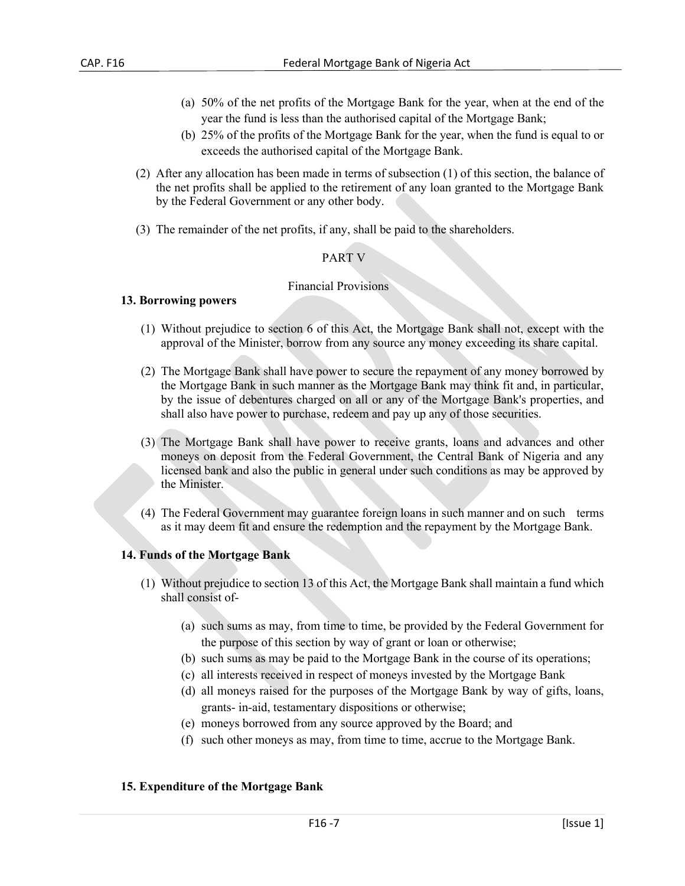- (a) 50% of the net profits of the Mortgage Bank for the year, when at the end of the year the fund is less than the authorised capital of the Mortgage Bank;
- (b) 25% of the profits of the Mortgage Bank for the year, when the fund is equal to or exceeds the authorised capital of the Mortgage Bank.
- (2) After any allocation has been made in terms of subsection (1) of this section, the balance of the net profits shall be applied to the retirement of any loan granted to the Mortgage Bank by the Federal Government or any other body.
- (3) The remainder of the net profits, if any, shall be paid to the shareholders.

### PART V

#### Financial Provisions

#### **13. Borrowing powers**

- (1) Without prejudice to section 6 of this Act, the Mortgage Bank shall not, except with the approval of the Minister, borrow from any source any money exceeding its share capital.
- (2) The Mortgage Bank shall have power to secure the repayment of any money borrowed by the Mortgage Bank in such manner as the Mortgage Bank may think fit and, in particular, by the issue of debentures charged on all or any of the Mortgage Bank's properties, and shall also have power to purchase, redeem and pay up any of those securities.
- (3) The Mortgage Bank shall have power to receive grants, loans and advances and other moneys on deposit from the Federal Government, the Central Bank of Nigeria and any licensed bank and also the public in general under such conditions as may be approved by the Minister.
- (4) The Federal Government may guarantee foreign loans in such manner and on such terms as it may deem fit and ensure the redemption and the repayment by the Mortgage Bank.

#### **14. Funds of the Mortgage Bank**

- (1) Without prejudice to section 13 of this Act, the Mortgage Bank shall maintain a fund which shall consist of-
	- (a) such sums as may, from time to time, be provided by the Federal Government for the purpose of this section by way of grant or loan or otherwise;
	- (b) such sums as may be paid to the Mortgage Bank in the course of its operations;
	- (c) all interests received in respect of moneys invested by the Mortgage Bank
	- (d) all moneys raised for the purposes of the Mortgage Bank by way of gifts, loans, grants- in-aid, testamentary dispositions or otherwise;
	- (e) moneys borrowed from any source approved by the Board; and
	- (f) such other moneys as may, from time to time, accrue to the Mortgage Bank.

#### **15. Expenditure of the Mortgage Bank**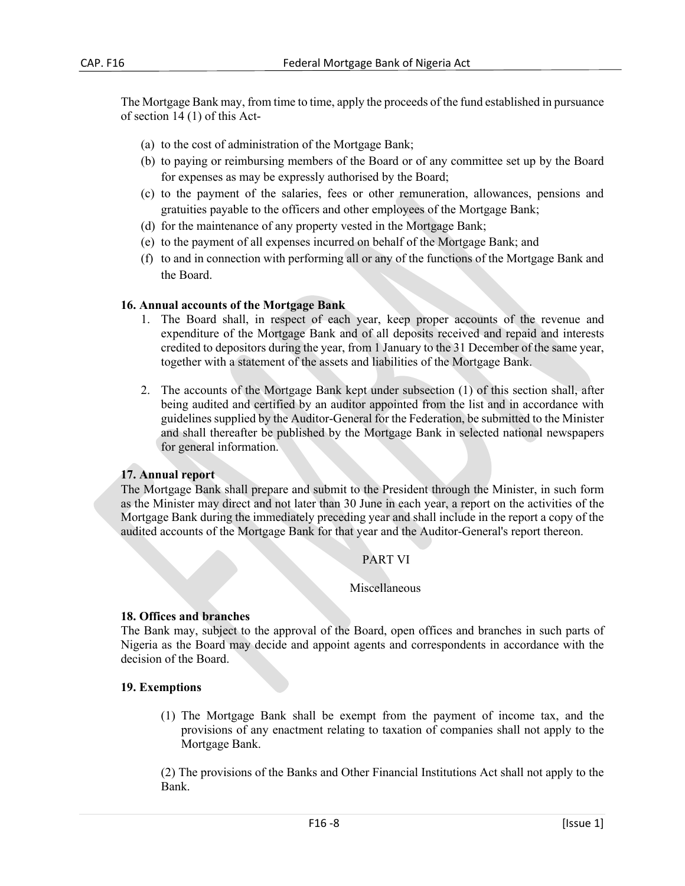The Mortgage Bank may, from time to time, apply the proceeds of the fund established in pursuance of section 14 (1) of this Act-

- (a) to the cost of administration of the Mortgage Bank;
- (b) to paying or reimbursing members of the Board or of any committee set up by the Board for expenses as may be expressly authorised by the Board;
- (c) to the payment of the salaries, fees or other remuneration, allowances, pensions and gratuities payable to the officers and other employees of the Mortgage Bank;
- (d) for the maintenance of any property vested in the Mortgage Bank;
- (e) to the payment of all expenses incurred on behalf of the Mortgage Bank; and
- (f) to and in connection with performing all or any of the functions of the Mortgage Bank and the Board.

### **16. Annual accounts of the Mortgage Bank**

- 1. The Board shall, in respect of each year, keep proper accounts of the revenue and expenditure of the Mortgage Bank and of all deposits received and repaid and interests credited to depositors during the year, from 1 January to the 31 December of the same year, together with a statement of the assets and liabilities of the Mortgage Bank.
- 2. The accounts of the Mortgage Bank kept under subsection (1) of this section shall, after being audited and certified by an auditor appointed from the list and in accordance with guidelines supplied by the Auditor-General for the Federation, be submitted to the Minister and shall thereafter be published by the Mortgage Bank in selected national newspapers for general information.

### **17. Annual report**

The Mortgage Bank shall prepare and submit to the President through the Minister, in such form as the Minister may direct and not later than 30 June in each year, a report on the activities of the Mortgage Bank during the immediately preceding year and shall include in the report a copy of the audited accounts of the Mortgage Bank for that year and the Auditor-General's report thereon.

### PART VI

### Miscellaneous

### **18. Offices and branches**

The Bank may, subject to the approval of the Board, open offices and branches in such parts of Nigeria as the Board may decide and appoint agents and correspondents in accordance with the decision of the Board.

### **19. Exemptions**

(1) The Mortgage Bank shall be exempt from the payment of income tax, and the provisions of any enactment relating to taxation of companies shall not apply to the Mortgage Bank.

(2) The provisions of the Banks and Other Financial Institutions Act shall not apply to the Bank.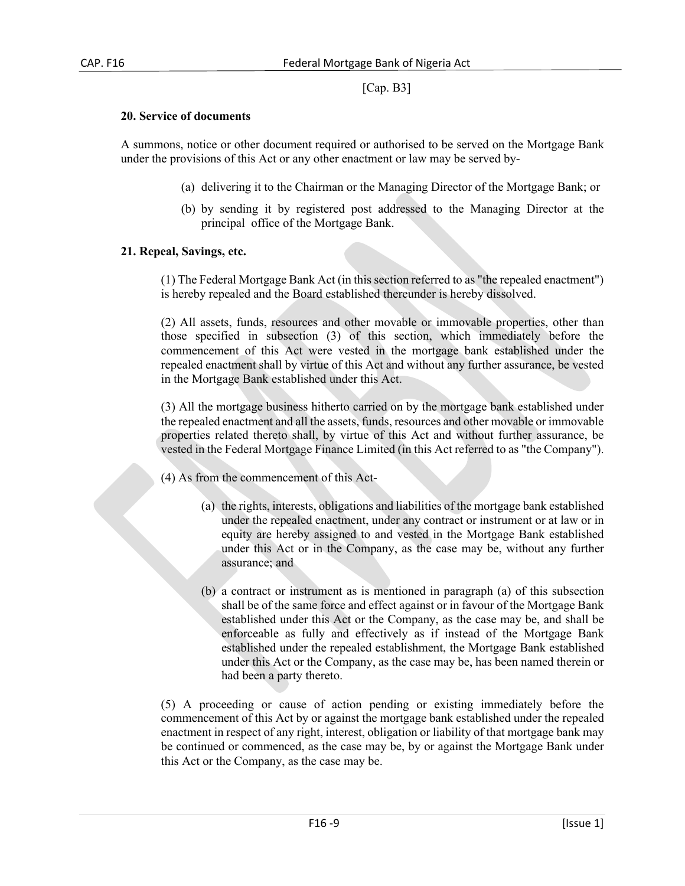# [Cap. B3]

#### **20. Service of documents**

A summons, notice or other document required or authorised to be served on the Mortgage Bank under the provisions of this Act or any other enactment or law may be served by-

- (a) delivering it to the Chairman or the Managing Director of the Mortgage Bank; or
- (b) by sending it by registered post addressed to the Managing Director at the principal office of the Mortgage Bank.

### **21. Repeal, Savings, etc.**

(1) The Federal Mortgage Bank Act (in this section referred to as "the repealed enactment") is hereby repealed and the Board established thereunder is hereby dissolved.

(2) All assets, funds, resources and other movable or immovable properties, other than those specified in subsection (3) of this section, which immediately before the commencement of this Act were vested in the mortgage bank established under the repealed enactment shall by virtue of this Act and without any further assurance, be vested in the Mortgage Bank established under this Act.

(3) All the mortgage business hitherto carried on by the mortgage bank established under the repealed enactment and all the assets, funds, resources and other movable or immovable properties related thereto shall, by virtue of this Act and without further assurance, be vested in the Federal Mortgage Finance Limited (in this Act referred to as "the Company").

- (4) As from the commencement of this Act-
	- (a) the rights, interests, obligations and liabilities of the mortgage bank established under the repealed enactment, under any contract or instrument or at law or in equity are hereby assigned to and vested in the Mortgage Bank established under this Act or in the Company, as the case may be, without any further assurance; and
	- (b) a contract or instrument as is mentioned in paragraph (a) of this subsection shall be of the same force and effect against or in favour of the Mortgage Bank established under this Act or the Company, as the case may be, and shall be enforceable as fully and effectively as if instead of the Mortgage Bank established under the repealed establishment, the Mortgage Bank established under this Act or the Company, as the case may be, has been named therein or had been a party thereto.

(5) A proceeding or cause of action pending or existing immediately before the commencement of this Act by or against the mortgage bank established under the repealed enactment in respect of any right, interest, obligation or liability of that mortgage bank may be continued or commenced, as the case may be, by or against the Mortgage Bank under this Act or the Company, as the case may be.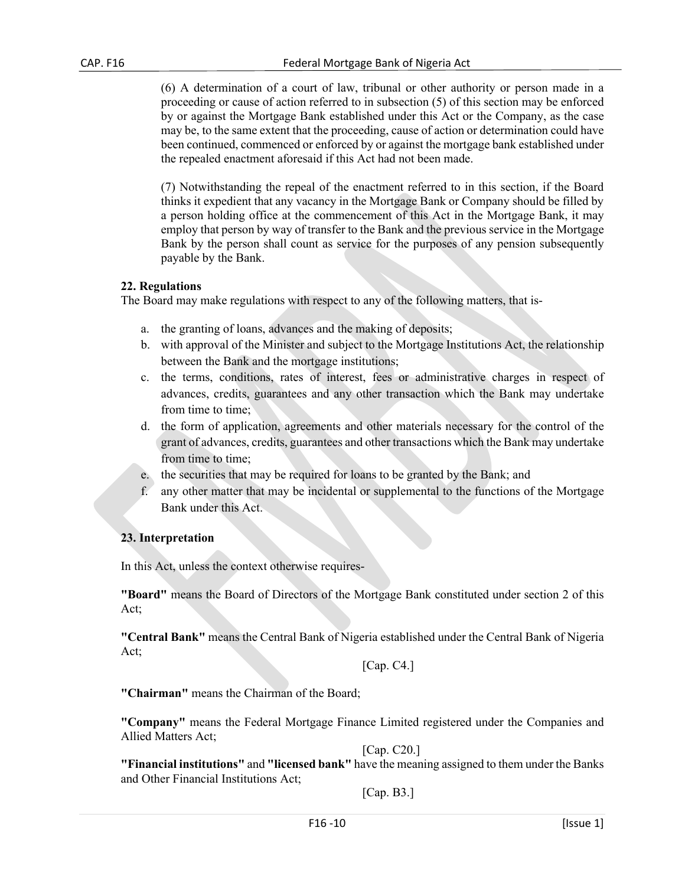(6) A determination of a court of law, tribunal or other authority or person made in a proceeding or cause of action referred to in subsection (5) of this section may be enforced by or against the Mortgage Bank established under this Act or the Company, as the case may be, to the same extent that the proceeding, cause of action or determination could have been continued, commenced or enforced by or against the mortgage bank established under the repealed enactment aforesaid if this Act had not been made.

(7) Notwithstanding the repeal of the enactment referred to in this section, if the Board thinks it expedient that any vacancy in the Mortgage Bank or Company should be filled by a person holding office at the commencement of this Act in the Mortgage Bank, it may employ that person by way of transfer to the Bank and the previous service in the Mortgage Bank by the person shall count as service for the purposes of any pension subsequently payable by the Bank.

### **22. Regulations**

The Board may make regulations with respect to any of the following matters, that is-

- a. the granting of loans, advances and the making of deposits;
- b. with approval of the Minister and subject to the Mortgage Institutions Act, the relationship between the Bank and the mortgage institutions;
- c. the terms, conditions, rates of interest, fees or administrative charges in respect of advances, credits, guarantees and any other transaction which the Bank may undertake from time to time;
- d. the form of application, agreements and other materials necessary for the control of the grant of advances, credits, guarantees and other transactions which the Bank may undertake from time to time;
- e. the securities that may be required for loans to be granted by the Bank; and
- f. any other matter that may be incidental or supplemental to the functions of the Mortgage Bank under this Act.

# **23. Interpretation**

In this Act, unless the context otherwise requires-

**"Board"** means the Board of Directors of the Mortgage Bank constituted under section 2 of this Act;

**"Central Bank"** means the Central Bank of Nigeria established under the Central Bank of Nigeria Act;

[Cap. C4.]

**"Chairman"** means the Chairman of the Board;

**"Company"** means the Federal Mortgage Finance Limited registered under the Companies and Allied Matters Act;

[Cap. C20.]

**"Financial institutions"** and **"licensed bank"** have the meaning assigned to them under the Banks and Other Financial Institutions Act;

[Cap. B3.]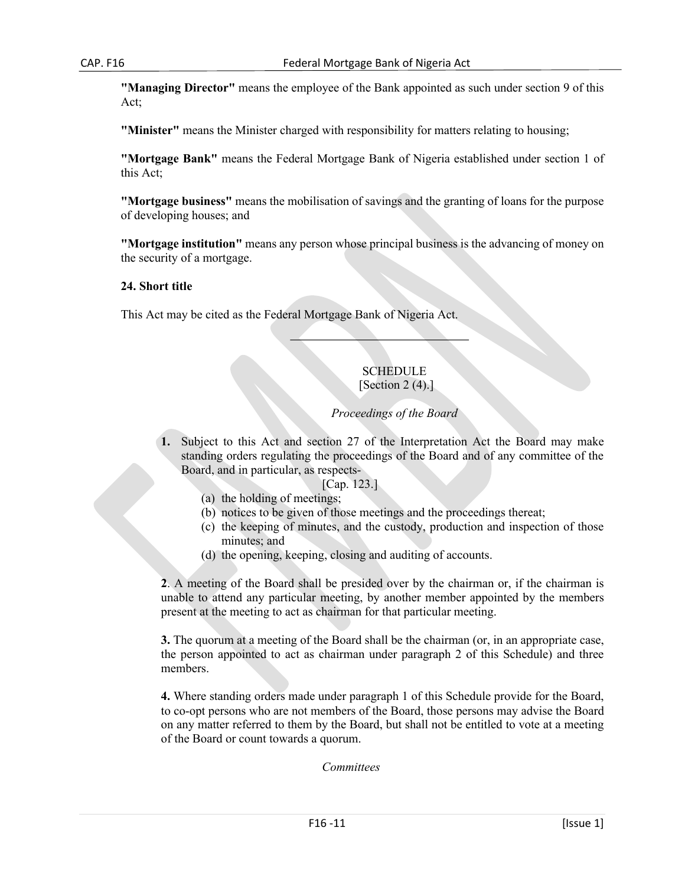**"Managing Director"** means the employee of the Bank appointed as such under section 9 of this Act;

**"Minister"** means the Minister charged with responsibility for matters relating to housing;

**"Mortgage Bank"** means the Federal Mortgage Bank of Nigeria established under section 1 of this Act;

**"Mortgage business"** means the mobilisation of savings and the granting of loans for the purpose of developing houses; and

**"Mortgage institution"** means any person whose principal business is the advancing of money on the security of a mortgage.

#### **24. Short title**

This Act may be cited as the Federal Mortgage Bank of Nigeria Act.

# **SCHEDULE** [Section 2 (4).]

#### *Proceedings of the Board*

**1.** Subject to this Act and section 27 of the Interpretation Act the Board may make standing orders regulating the proceedings of the Board and of any committee of the Board, and in particular, as respects-

[Cap. 123.]

- (a) the holding of meetings;
- (b) notices to be given of those meetings and the proceedings thereat;
- (c) the keeping of minutes, and the custody, production and inspection of those minutes; and
- (d) the opening, keeping, closing and auditing of accounts.

**2**. A meeting of the Board shall be presided over by the chairman or, if the chairman is unable to attend any particular meeting, by another member appointed by the members present at the meeting to act as chairman for that particular meeting.

**3.** The quorum at a meeting of the Board shall be the chairman (or, in an appropriate case, the person appointed to act as chairman under paragraph 2 of this Schedule) and three members.

**4.** Where standing orders made under paragraph 1 of this Schedule provide for the Board, to co-opt persons who are not members of the Board, those persons may advise the Board on any matter referred to them by the Board, but shall not be entitled to vote at a meeting of the Board or count towards a quorum.

*Committees*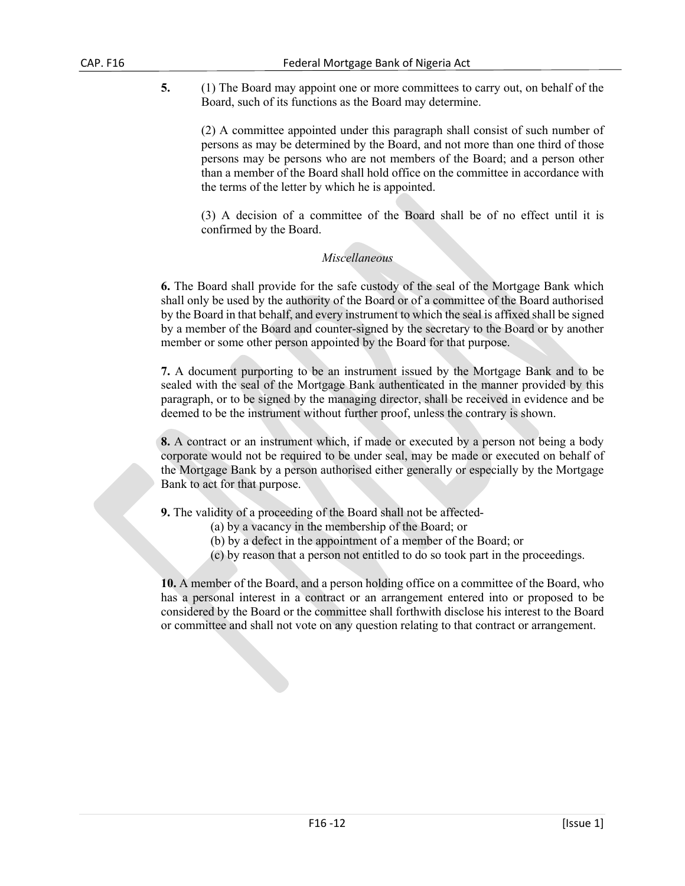**5.** (1) The Board may appoint one or more committees to carry out, on behalf of the Board, such of its functions as the Board may determine.

(2) A committee appointed under this paragraph shall consist of such number of persons as may be determined by the Board, and not more than one third of those persons may be persons who are not members of the Board; and a person other than a member of the Board shall hold office on the committee in accordance with the terms of the letter by which he is appointed.

(3) A decision of a committee of the Board shall be of no effect until it is confirmed by the Board.

# *Miscellaneous*

**6.** The Board shall provide for the safe custody of the seal of the Mortgage Bank which shall only be used by the authority of the Board or of a committee of the Board authorised by the Board in that behalf, and every instrument to which the seal is affixed shall be signed by a member of the Board and counter-signed by the secretary to the Board or by another member or some other person appointed by the Board for that purpose.

**7.** A document purporting to be an instrument issued by the Mortgage Bank and to be sealed with the seal of the Mortgage Bank authenticated in the manner provided by this paragraph, or to be signed by the managing director, shall be received in evidence and be deemed to be the instrument without further proof, unless the contrary is shown.

**8.** A contract or an instrument which, if made or executed by a person not being a body corporate would not be required to be under seal, may be made or executed on behalf of the Mortgage Bank by a person authorised either generally or especially by the Mortgage Bank to act for that purpose.

**9.** The validity of a proceeding of the Board shall not be affected-

- (a) by a vacancy in the membership of the Board; or
- (b) by a defect in the appointment of a member of the Board; or
- (c) by reason that a person not entitled to do so took part in the proceedings.

**10.** A member of the Board, and a person holding office on a committee of the Board, who has a personal interest in a contract or an arrangement entered into or proposed to be considered by the Board or the committee shall forthwith disclose his interest to the Board or committee and shall not vote on any question relating to that contract or arrangement.